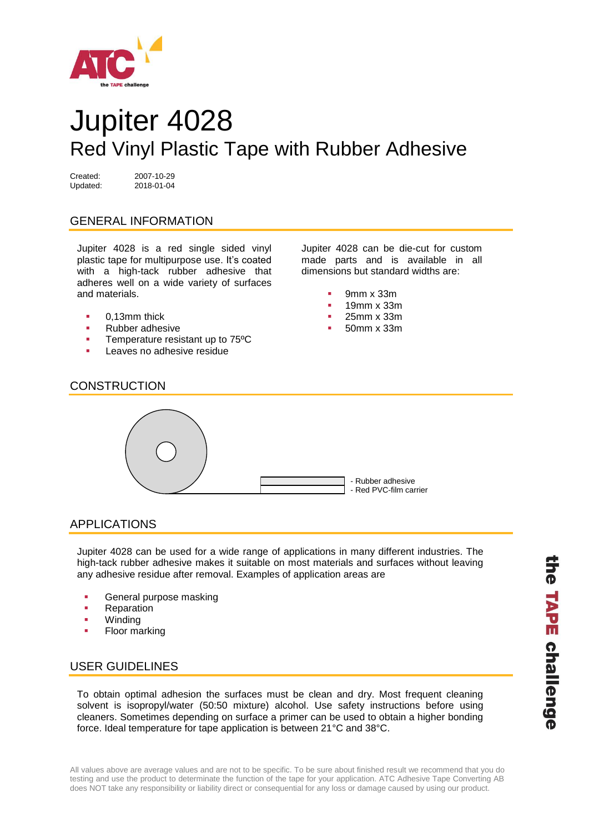

# Jupiter 4028 Red Vinyl Plastic Tape with Rubber Adhesive

Created: 2007-10-29 Updated: 2018-01-04

# GENERAL INFORMATION

Jupiter 4028 is a red single sided vinyl plastic tape for multipurpose use. It's coated with a high-tack rubber adhesive that adheres well on a wide variety of surfaces and materials.

- 0,13mm thick
- Rubber adhesive
- **Temperature resistant up to 75°C**
- Leaves no adhesive residue

Jupiter 4028 can be die-cut for custom made parts and is available in all dimensions but standard widths are:

- 9mm x 33m
- 19mm x 33m
- 25mm x 33m
- 50mm x 33m

## **CONSTRUCTION**



### APPLICATIONS

Jupiter 4028 can be used for a wide range of applications in many different industries. The high-tack rubber adhesive makes it suitable on most materials and surfaces without leaving any adhesive residue after removal. Examples of application areas are

- General purpose masking
- Reparation
- Winding
- Floor marking

# USER GUIDELINES

To obtain optimal adhesion the surfaces must be clean and dry. Most frequent cleaning solvent is isopropyl/water (50:50 mixture) alcohol. Use safety instructions before using cleaners. Sometimes depending on surface a primer can be used to obtain a higher bonding force. Ideal temperature for tape application is between 21°C and 38°C.